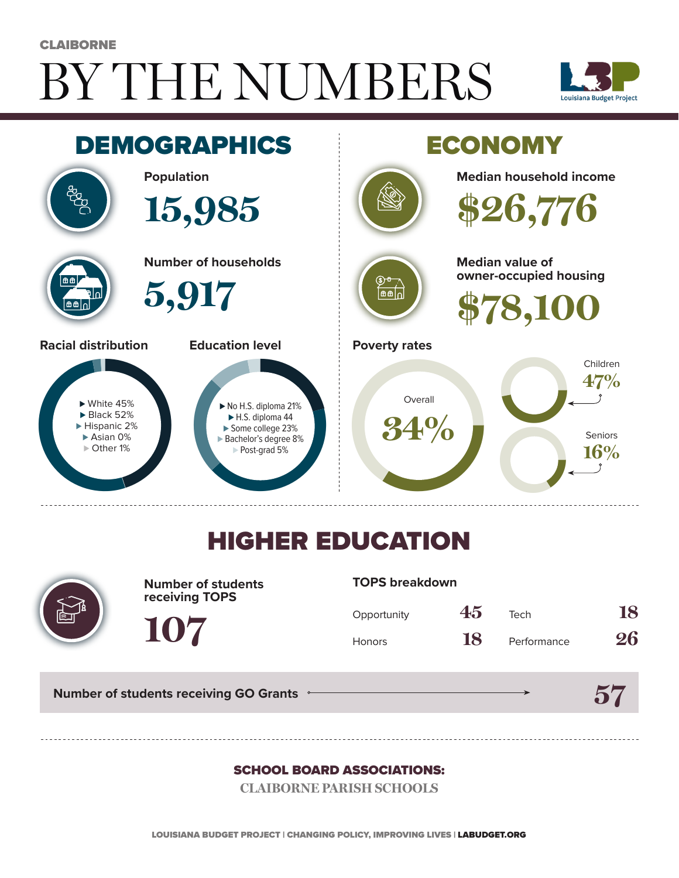# BY THE NUMBERS **CLAIBORNE**





## HIGHER EDUCATION



**Number of students receiving TOPS**

#### **TOPS breakdown**

| Opportunity   | 45 | Tech        | 18 |
|---------------|----|-------------|----|
| <b>Honors</b> | 18 | Performance | 26 |

**57**

**Number of students receiving GO Grants**

**107**

#### SCHOOL BOARD ASSOCIATIONS:

**CLAIBORNE PARISH SCHOOLS**